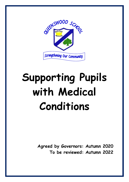

# **Supporting Pupils with Medical Conditions**

**Agreed by Governors: Autumn 2020 To be reviewed: Autumn 2022**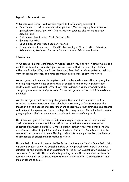# **Regard to Documentation**

At Queenswood School, we have due regard to the following documents:

- Department for Education's statutory guidance, 'Supporting pupils at school with medical conditions', April 2014 (This statutory guidance also refers to other specific laws.)
- Children and Families Act 2014 (Section 100)
- Equality Act 2010
- Special Educational Needs Code of Practice
- Other school policies, such as Child Protection, Equal Opportunities, Behaviour, Administering Medicines, Intimate Care and Special Educational Needs.

# **Introduction**

At Queenswood School, children with medical conditions, in terms of both physical and mental health, will be properly supported in school so that they can play a full and active role in school life, remain healthy and achieve their academic potential and that they can access and enjoy the same opportunities at school as any other child.

We recognise that pupils with long-term and complex medical conditions may require on-going support, medicines or care while at school to help them to manage their condition and keep them well. Others may require monitoring and interventions in emergency circumstances. Queenswood School recognises that each child's needs are individual.

We also recognise that needs may change over time, and that this may result in extended absence from school. The school will make every effort to minimise the impact on a child's educational attainment and support his or her emotional and general well-being, including any necessary re-integration programmes. The school will focus on giving pupils and their parents every confidence in the school's approach.

The school recognises that some children who require support with their medical conditions may also have special educational needs and may have a statement or Education Healthcare Plan (EHCP). We will work together with other schools, health professionals, other support services, and the Local Authority. Sometimes it may be necessary for the school to work flexibly, and may, for example, involve a combination of attendance at school and alternative provision.

The admission to school is conducted by Telford and Wrekin. Children's admission into Nursery is conducted by the school. No child with a medical condition will be denied admission on the grounds that arrangements for his or her medical condition have not been made. In line with the school's safeguarding duties, the school does not have to accept a child in school at times where it would be detrimental to the health of that child or others to do so.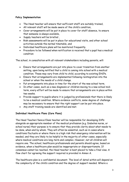# **Policy Implementation**

- The Head teacher will ensure that sufficient staff are suitably trained,
- All relevant staff will be made aware of the child's condition,
- Cover arrangements will be put in place to cover for staff absence, to ensure that someone is always available,
- Supply teachers will be briefed,
- Risk assessments will be put in place for educational visits, and other school activities outside the normal timetable, and
- Individual healthcare plans will be monitored frequently.
- Procedure to be followed when notification is received that a pupil has a medical condition

The school, in consultation with all relevant stakeholders including parents, will:

- Ensure that arrangements are put into place to cover transition from another setting, upon being notified that a child is coming into school with a medical condition. These may vary from child to child, according to existing EHCPs.
- Ensure that arrangements are implemented following reintegration into the school or when the needs of a child change.
- Put arrangements into place in time for the start of the new school term.
- In other cases, such as a new diagnosis or children moving to a new school midterm, every effort will be made to ensure that arrangements are in place within two weeks.
- Provide support to pupils where it is judged by professionals that there is likely to be a medical condition. Where evidence conflicts, some degree of challenge may be necessary to ensure that the right support can be put into place.
- Any staff training needs are identified and met.

# **Individual Healthcare Plans (Care Plans)**

The Head Teacher/Senco/Class teacher will be responsible for developing IHPs alongside an appropriate member of the medical profession (e.g. Diabetes nurse, or school nurse) their purpose is to ensure that they provide clarity about what needs to be done, when and by whom. They will often be essential, such as in cases where conditions fluctuate or where there is a high risk that emergency intervention will be needed, and they are likely to be helpful in the majority of other cases, especially where medical conditions are long-term and complex. However, not all children will require one. The school, healthcare professionals and parents should agree, based on evidence, when a healthcare plan would be inappropriate or disproportionate. If consensus cannot be reached, the Head teacher is best placed to take a final view. A flow chart for agreeing the support required is provided in Annex A.

The healthcare plan is a confidential document. The level of detail within will depend on the complexity of the child's condition and the degree of support needed. Where a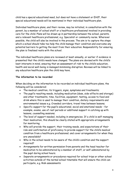child has a special educational need, but does not have a statement or EHCP, their special educational needs will be mentioned in their individual healthcare plan.

Individual healthcare plans, and their review, may be initiated, in consultation with the parent, by a member of school staff or a healthcare professional involved in providing care for the child. Plans will be drawn up in partnership between the school, parents, and a relevant healthcare professional, e.g. Specialist or community nurse. Wherever possible, the child will also be involved in the process. The aim is to capture the steps which a school should take too help the child manage their condition and overcome any potential barriers to getting the most from their education. Responsibility for ensuring the plan is finalised rests with the school.

The individual healthcare plans are reviewed at least annually, or earlier if evidence is presented that the child's needs have changed. The plans are devised with the child's best interests in mind, ensuring that an assessment of risk to the child's education, health and social well-being is managed minimising disruption. Reviews will be linked to any education healthcare plan the child may have.

# **The information to be recorded**

When deciding on the information to be recorded on individual healthcare plans, the following will be considered:

- The medical condition, its triggers, signs, symptoms and treatments;
- The pupil's resulting needs, including medication (dose, side-effects and storage) and other treatments, time, facilities, equipment, testing, access to food and drink where this is used to manage their condition, dietary requirements and environmental issues e.g. Crowded corridors, travel time between lessons;
- Specific support for the pupil's educational, social and emotional needs for example, exams, use of rest periods or additional support in catching up with lessons, counselling sessions;
- The level of support needed, including in emergencies. If a child is self-managing their medication, this should be clearly stated with appropriate arrangements for monitoring;
- Who will provide the support, their training needs, and expectations of their role and confirmation of proficiency to provide support for the child's medical condition from a healthcare professional; and cover arrangements for when they are unavailable?
- Who in the school needs to be aware of the child's condition and the support required?
- Arrangements for written permission from parents and the head teacher for medication to be administered by a member of staff, or self-administered by the pupil during school hours.
- Separate arrangements or procedures required for school trips or other school activities outside of the normal school timetable that will ensure the child can participate, e.g. Risk assessments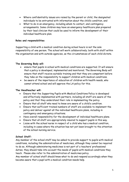- Where confidentiality issues are raised by the parent or child, the designated individuals to be entrusted with information about the child's condition, and
- What to do in an emergency, including whom to contact, and contingency arrangements. Some children may have an emergency healthcare plan prepared by their lead clinician that could be used to inform the development of their individual healthcare plan.

# **Roles and responsibilities**

Supporting a child with a medical condition during school hours is not the sole responsibility of one person. The school will work collaboratively; both with staff within the organisation and with outside agencies, as the circumstances of each child dictate.

# **The Governing Body will:**

- ensure that pupils in school with medical conditions are supported. It will ensure that a policy is developed, implemented and monitored. The Governing Body will ensure that staff receive suitable training and that they are competent before they take on the responsibility to support children with medical conditions.
- be aware of the importance of education of children with health needs, who cannot attend school and will approve the LA policy for this.

### **The Headteacher will:**

- Ensure that the Supporting Pupils with Medical Conditions Policy is developed and effectively implemented with partners, including all staff are aware of the policy and that they understand their role in implementing the policy.
- Ensure that all staff who need to know are aware of a child's condition.
- Ensure that sufficient trained numbers of staff are available to implement the policy and deliver against all the individual healthcare plans, including in contingency and emergency situations.
- Have overall responsibility for the development of individual healthcare plans.
- Ensure that all staff are appropriately insured to support pupils in this way.
- Liaise with the school nurse in respect of a child who has a medical condition, including in cases where the situation has not yet been brought to the attention of the school nursing service.

# **School Staff:**

Any member of the school staff may be asked to provide support to pupils with medical conditions, including the administration of medicines, although they cannot be required to do so. Although administering medicines is not part of a teachers' professional duties, they should take into account the needs of pupils with medical conditions they teach. Please also refer to the administration of medicines policy.

Any member of school staff should know what to do and respond accordingly when they become aware that a pupil with a medical condition needs help.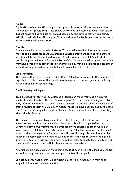### **Pupils:**

Pupils with medical conditions may be best placed to provide information about how their condition affects them. They should be involved in discussions about their medical support needs and contribute as much as possible to the development of, and comply with their individual healthcare plan. Other children will often be sensitive to the needs of those with medical conditions.

# **Parent:**

Parents should provide the school with sufficient and up-to-date information about their child's medical needs. At Queenswood School, parents are seen as key partners and they will be involved in the development and review of their child's individual healthcare plan, and may be involved in its drafting. Parents should carry out the action they have agreed to as part of its implementation, e.g. Provide medicines and equipment and ensure they or another nominated adult are contactable at all times.

# **Local Authority:**

The Local Authority has a duty to commission a school nurse service to this school. It I expected that the Local Authority will provide support, advice and guidance, including suitable training for school staff.

# **Staff training and support**

Training needs for staff will be assessed by looking at the current and anticipated needs of pupils already on the roll. It may be possible to determine training needs by early information relating to a child about to be admitted to the school. All members of staff providing support to a child with medical needs will have been trained beforehand. Staff who provide support to pupils with medical conditions will be included in meetings where this is discussed.

The type of training, and frequency of refresher training, will be determined by the actual medical condition that a child may have and this will be supported by the Governing Body. Some training may be arranged by the school, and other types may make use of the skills and knowledge provide by the school nurse service, or specialist nurse services, among others. In some cases, the healthcare professional may be able to advise on easily accessible training such as on the jext website. Other training may involve on-site or off-site provision. Parents will be asked to supply specific advice and then this will be reinforced with healthcare professional advice.

All staff will be made aware of the specific needs of each child with a medical condition and will be competent and confident enough to deliver the support.

It must be noted that a First Aid certificate alone will not suffice for training to support children with medical conditions.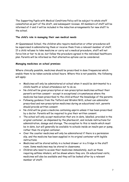The Supporting Pupils with Medical Conditions Policy will be subject to whole staff consultation as part of the draft, and subsequent reviews. All members of staff will be informed of it and it will be included in the induction arrangements for new staff to the school.

# **The child's role in managing their own medical needs**

At Queenswood School, the children who require medication or other procedures will be supervised in administering them or receive them from a relevant member of staff. If a child refuses to take medicine or carry out a medical procedure, staff will not force him or her to do so, but follow the procedure agreed in the individual healthcare plan. Parents will be informed so that alternative options can be considered.

# **Managing medicines on school premises**

Where clinically possible, medicines should be prescribed in dose frequencies which enable them to be taken outside school hours. Where this is not possible, the following will apply:

- Medicines will only be administered at school when it would be detrimental to a child's health or school attendance not to do so.
- No child will be given prescription or non-prescription medicines without their parent's written consent – except in exceptional circumstances where the medicine has been prescribed to the child without the knowledge of the parents.
- Following guidance from the Telford and Wrekin NHS, school can administer prescribed and non-prescription medicines during an educational visit, parents should provide written consent.
- No child will be given a medicine containing aspirin unless it has been prescribed by a doctor. Parents will be required to give their written consent.
- The school will only accept medication that are in-date, labelled, provided in the original container, as dispensed by the pharmacist, and include instructions for administration, dosage and storage. The exception to this is insulin which must be in-date, but will generally be available to schools inside an insulin pen or pump, rather than its original container.
- Over the counter medicines will only be administered if there is a permission slip, and the medicine has been supplied in its original container with legible instructions.
- Medicines will be stored safely in a locked drawer or in a fridge in the staff room. Some medicines may be stored in classrooms.
- Children who need to access their medicines immediately, such as those requiring asthma inhalers, will be shown where they are. On educational visits, medicines will also be available and they will be looked after by a relevant member of staff.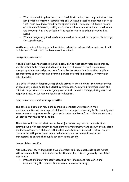- If a controlled drug has been prescribed, it will be kept securely and stored in a non-portable container. Named staff only will have access to such medication so that it can be administered to the specific child. The school will keep a record of doses administered, stating what, how and how much was administered, when and by whom. Any side effects of the medication to be administered will be noted.
- When no longer required, medicines should be returned to the parent to arrange for safe disposal.

Written records will be kept of all medicines administered to children and parents will be informed if their child has been unwell at school.

# **Emergency procedures**

A child's individual healthcare plan will clearly define what constitutes an emergency and the action to be taken, including ensuring that all relevant staff are aware of emergency symptoms and procedures. It may be necessary to inform other pupils in general terms so that they can inform a member of staff immediately if they think help is needed.

If a child is taken to hospital, staff should stay with the child until the parent arrives, or accompany a child taken to hospital by ambulance. Accurate information about the child will be provided to the emergency services at the call out stage, during any first response stage, or subsequent moving on to hospital.

# **Educational visits and sporting activities**

The school will consider how a child's medical condition will impact on their participation. We will encourage all children to participate according to their ability and make any necessary reasonable adjustments, unless evidence from a clinician, such as a GP, states that this is not possible.

The school will consider what reasonable adjustments may need to be made after carrying out a risk assessment so that planning arrangements take account of any steps needed to ensure that children with medical conditions are included. This will require consultation with parents and pupils and advice from the relevant healthcare professional to ensure that pupils can participate safely.

# **Unacceptable practice**

Although school staff should use their discretion and judge each case on its merits with reference to the child's individual healthcare plan, it is not generally acceptable practice to:

 Prevent children from easily accessing heir inhalers and medication and administering their medication when and where necessary;